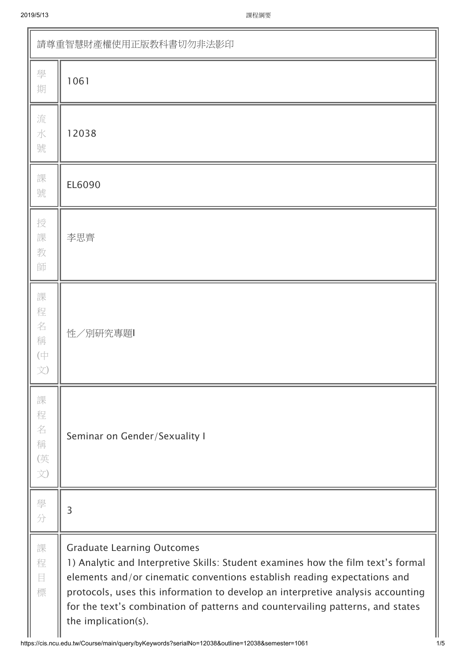| 請尊重智慧財產權使用正版教科書切勿非法影印               |                                                                                                                                                                                                                                                                                                                                                                                               |  |  |  |  |  |
|-------------------------------------|-----------------------------------------------------------------------------------------------------------------------------------------------------------------------------------------------------------------------------------------------------------------------------------------------------------------------------------------------------------------------------------------------|--|--|--|--|--|
| 學<br>期                              | 1061                                                                                                                                                                                                                                                                                                                                                                                          |  |  |  |  |  |
| 流<br>水<br>號                         | 12038                                                                                                                                                                                                                                                                                                                                                                                         |  |  |  |  |  |
| 課<br>號                              | EL6090                                                                                                                                                                                                                                                                                                                                                                                        |  |  |  |  |  |
| 授<br>課<br>教<br>師                    | 李思齊                                                                                                                                                                                                                                                                                                                                                                                           |  |  |  |  |  |
| 課<br>程<br>名<br>稱<br>$(\dagger$<br>文 | 性/別研究專題                                                                                                                                                                                                                                                                                                                                                                                       |  |  |  |  |  |
| 課<br>程<br>名<br>稱<br>(英<br>文)        | Seminar on Gender/Sexuality I                                                                                                                                                                                                                                                                                                                                                                 |  |  |  |  |  |
| 學<br>分                              | 3                                                                                                                                                                                                                                                                                                                                                                                             |  |  |  |  |  |
| 課<br>程<br>目<br>標                    | <b>Graduate Learning Outcomes</b><br>1) Analytic and Interpretive Skills: Student examines how the film text's formal<br>elements and/or cinematic conventions establish reading expectations and<br>protocols, uses this information to develop an interpretive analysis accounting<br>for the text's combination of patterns and countervailing patterns, and states<br>the implication(s). |  |  |  |  |  |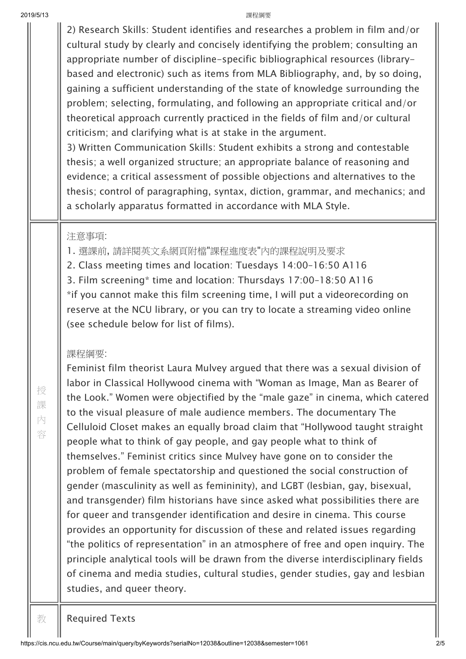| 2019/5/13 |             | 課程綱要                                                                                                                                                                                                                                                                                                                                                                                                                                                                                                                                                                                                                                                                                                                                                                                                                                                                                                                                                                                                                                                                                            |
|-----------|-------------|-------------------------------------------------------------------------------------------------------------------------------------------------------------------------------------------------------------------------------------------------------------------------------------------------------------------------------------------------------------------------------------------------------------------------------------------------------------------------------------------------------------------------------------------------------------------------------------------------------------------------------------------------------------------------------------------------------------------------------------------------------------------------------------------------------------------------------------------------------------------------------------------------------------------------------------------------------------------------------------------------------------------------------------------------------------------------------------------------|
|           |             | 2) Research Skills: Student identifies and researches a problem in film and/or<br>cultural study by clearly and concisely identifying the problem; consulting an<br>appropriate number of discipline-specific bibliographical resources (library-<br>based and electronic) such as items from MLA Bibliography, and, by so doing,<br>gaining a sufficient understanding of the state of knowledge surrounding the<br>problem; selecting, formulating, and following an appropriate critical and/or<br>theoretical approach currently practiced in the fields of film and/or cultural<br>criticism; and clarifying what is at stake in the argument.<br>3) Written Communication Skills: Student exhibits a strong and contestable<br>thesis; a well organized structure; an appropriate balance of reasoning and<br>evidence; a critical assessment of possible objections and alternatives to the<br>thesis; control of paragraphing, syntax, diction, grammar, and mechanics; and<br>a scholarly apparatus formatted in accordance with MLA Style.                                            |
|           | 授           | 注意事項:<br>1. 選課前, 請詳閱英文系網頁附檔"課程進度表"內的課程說明及要求<br>2. Class meeting times and location: Tuesdays 14:00-16:50 A116<br>3. Film screening* time and location: Thursdays 17:00-18:50 A116<br>*if you cannot make this film screening time, I will put a videorecording on<br>reserve at the NCU library, or you can try to locate a streaming video online<br>(see schedule below for list of films).<br>課程綱要:<br>Feminist film theorist Laura Mulvey argued that there was a sexual division of<br>labor in Classical Hollywood cinema with "Woman as Image, Man as Bearer of                                                                                                                                                                                                                                                                                                                                                                                                                                                                                                                          |
|           | 課<br>內<br>容 | the Look." Women were objectified by the "male gaze" in cinema, which catered<br>to the visual pleasure of male audience members. The documentary The<br>Celluloid Closet makes an equally broad claim that "Hollywood taught straight<br>people what to think of gay people, and gay people what to think of<br>themselves." Feminist critics since Mulvey have gone on to consider the<br>problem of female spectatorship and questioned the social construction of<br>gender (masculinity as well as femininity), and LGBT (lesbian, gay, bisexual,<br>and transgender) film historians have since asked what possibilities there are<br>for queer and transgender identification and desire in cinema. This course<br>provides an opportunity for discussion of these and related issues regarding<br>"the politics of representation" in an atmosphere of free and open inquiry. The<br>principle analytical tools will be drawn from the diverse interdisciplinary fields<br>of cinema and media studies, cultural studies, gender studies, gay and lesbian<br>studies, and queer theory. |
|           |             |                                                                                                                                                                                                                                                                                                                                                                                                                                                                                                                                                                                                                                                                                                                                                                                                                                                                                                                                                                                                                                                                                                 |

I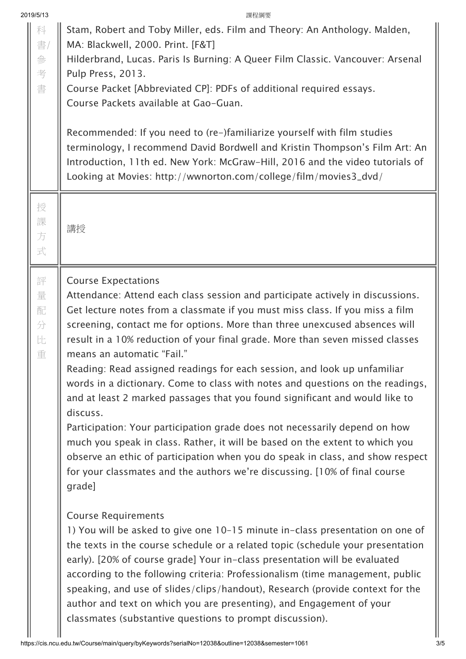| 2019/5/13                  |   | 課程綱要                                                                                    |
|----------------------------|---|-----------------------------------------------------------------------------------------|
| 科                          |   | Stam, Robert and Toby Miller, eds. Film and Theory: An Anthology. Malden,               |
| 書/                         |   | MA: Blackwell, 2000. Print. [F&T]                                                       |
| 參                          |   | Hilderbrand, Lucas. Paris Is Burning: A Queer Film Classic. Vancouver: Arsenal          |
|                            | 考 | Pulp Press, 2013.                                                                       |
|                            | 書 | Course Packet [Abbreviated CP]: PDFs of additional required essays.                     |
|                            |   | Course Packets available at Gao-Guan.                                                   |
|                            |   |                                                                                         |
|                            |   | Recommended: If you need to (re-)familiarize yourself with film studies                 |
|                            |   | terminology, I recommend David Bordwell and Kristin Thompson's Film Art: An             |
|                            |   | Introduction, 11th ed. New York: McGraw-Hill, 2016 and the video tutorials of           |
|                            |   | Looking at Movies: http://wwnorton.com/college/film/movies3_dvd/                        |
|                            | 授 |                                                                                         |
|                            | 課 |                                                                                         |
|                            | 方 | 講授                                                                                      |
|                            | 式 |                                                                                         |
|                            |   |                                                                                         |
|                            | 評 | <b>Course Expectations</b>                                                              |
|                            | 量 | Attendance: Attend each class session and participate actively in discussions.          |
| 配                          |   | Get lecture notes from a classmate if you must miss class. If you miss a film           |
| 分                          |   | screening, contact me for options. More than three unexcused absences will              |
| 比                          |   | result in a 10% reduction of your final grade. More than seven missed classes           |
|                            | 重 | means an automatic "Fail."                                                              |
|                            |   | Reading: Read assigned readings for each session, and look up unfamiliar                |
|                            |   | words in a dictionary. Come to class with notes and questions on the readings,          |
|                            |   | and at least 2 marked passages that you found significant and would like to<br>discuss. |
|                            |   | Participation: Your participation grade does not necessarily depend on how              |
|                            |   | much you speak in class. Rather, it will be based on the extent to which you            |
|                            |   | observe an ethic of participation when you do speak in class, and show respect          |
|                            |   | for your classmates and the authors we're discussing. [10% of final course              |
|                            |   | grade]                                                                                  |
|                            |   |                                                                                         |
| <b>Course Requirements</b> |   |                                                                                         |
|                            |   | 1) You will be asked to give one 10-15 minute in-class presentation on one of           |
|                            |   | the texts in the course schedule or a related topic (schedule your presentation         |
|                            |   | early). [20% of course grade] Your in-class presentation will be evaluated              |
|                            |   | according to the following criteria: Professionalism (time management, public           |
|                            |   |                                                                                         |
|                            |   | speaking, and use of slides/clips/handout), Research (provide context for the           |
|                            |   | author and text on which you are presenting), and Engagement of your                    |
|                            |   | classmates (substantive questions to prompt discussion).                                |